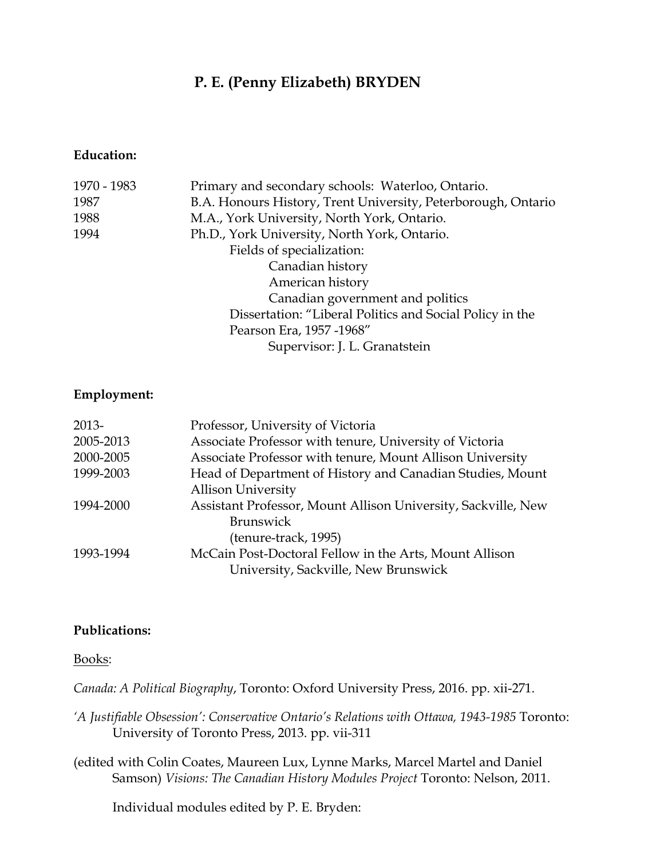## **P. E. (Penny Elizabeth) BRYDEN**

#### **Education:**

| 1970 - 1983 | Primary and secondary schools: Waterloo, Ontario.             |
|-------------|---------------------------------------------------------------|
| 1987        | B.A. Honours History, Trent University, Peterborough, Ontario |
| 1988        | M.A., York University, North York, Ontario.                   |
| 1994        | Ph.D., York University, North York, Ontario.                  |
|             | Fields of specialization:                                     |
|             | Canadian history                                              |
|             | American history                                              |
|             | Canadian government and politics                              |
|             | Dissertation: "Liberal Politics and Social Policy in the      |
|             | Pearson Era, 1957 -1968"                                      |
|             | Supervisor: J. L. Granatstein                                 |
|             |                                                               |

#### **Employment:**

| 2013-     | Professor, University of Victoria                             |
|-----------|---------------------------------------------------------------|
| 2005-2013 | Associate Professor with tenure, University of Victoria       |
| 2000-2005 | Associate Professor with tenure, Mount Allison University     |
| 1999-2003 | Head of Department of History and Canadian Studies, Mount     |
|           | <b>Allison University</b>                                     |
| 1994-2000 | Assistant Professor, Mount Allison University, Sackville, New |
|           | <b>Brunswick</b>                                              |
|           | (tenure-track, 1995)                                          |
| 1993-1994 | McCain Post-Doctoral Fellow in the Arts, Mount Allison        |
|           | University, Sackville, New Brunswick                          |

#### **Publications:**

#### Books:

*Canada: A Political Biography*, Toronto: Oxford University Press, 2016. pp. xii-271.

- *'A Justifiable Obsession': Conservative Ontario's Relations with Ottawa, 1943-1985* Toronto: University of Toronto Press, 2013. pp. vii-311
- (edited with Colin Coates, Maureen Lux, Lynne Marks, Marcel Martel and Daniel Samson) *Visions: The Canadian History Modules Project* Toronto: Nelson, 2011.

Individual modules edited by P. E. Bryden: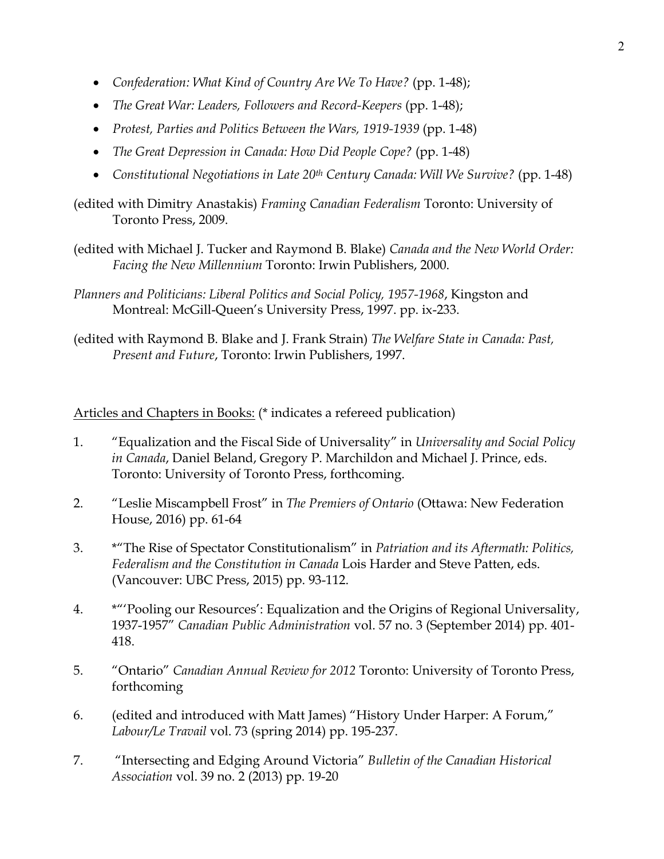- *Confederation: What Kind of Country Are We To Have?* (pp. 1-48);
- *The Great War: Leaders, Followers and Record-Keepers* (pp. 1-48);
- *Protest, Parties and Politics Between the Wars, 1919-1939* (pp. 1-48)
- *The Great Depression in Canada: How Did People Cope?* (pp. 1-48)
- *Constitutional Negotiations in Late 20th Century Canada: Will We Survive?* (pp. 1-48)

(edited with Dimitry Anastakis) *Framing Canadian Federalism* Toronto: University of Toronto Press, 2009.

- (edited with Michael J. Tucker and Raymond B. Blake) *Canada and the New World Order: Facing the New Millennium* Toronto: Irwin Publishers, 2000.
- *Planners and Politicians: Liberal Politics and Social Policy, 1957-1968*, Kingston and Montreal: McGill-Queen's University Press, 1997. pp. ix-233.
- (edited with Raymond B. Blake and J. Frank Strain) *The Welfare State in Canada: Past, Present and Future*, Toronto: Irwin Publishers, 1997.

Articles and Chapters in Books: (\* indicates a refereed publication)

- 1. "Equalization and the Fiscal Side of Universality" in *Universality and Social Policy in Canada*, Daniel Beland, Gregory P. Marchildon and Michael J. Prince, eds. Toronto: University of Toronto Press, forthcoming.
- 2. "Leslie Miscampbell Frost" in *The Premiers of Ontario* (Ottawa: New Federation House, 2016) pp. 61-64
- 3. \*"The Rise of Spectator Constitutionalism" in *Patriation and its Aftermath: Politics, Federalism and the Constitution in Canada* Lois Harder and Steve Patten, eds. (Vancouver: UBC Press, 2015) pp. 93-112.
- 4. \*"'Pooling our Resources': Equalization and the Origins of Regional Universality, 1937-1957" *Canadian Public Administration* vol. 57 no. 3 (September 2014) pp. 401- 418.
- 5. "Ontario" *Canadian Annual Review for 2012* Toronto: University of Toronto Press, forthcoming
- 6. (edited and introduced with Matt James) "History Under Harper: A Forum," *Labour/Le Travail* vol. 73 (spring 2014) pp. 195-237.
- 7. "Intersecting and Edging Around Victoria" *Bulletin of the Canadian Historical Association* vol. 39 no. 2 (2013) pp. 19-20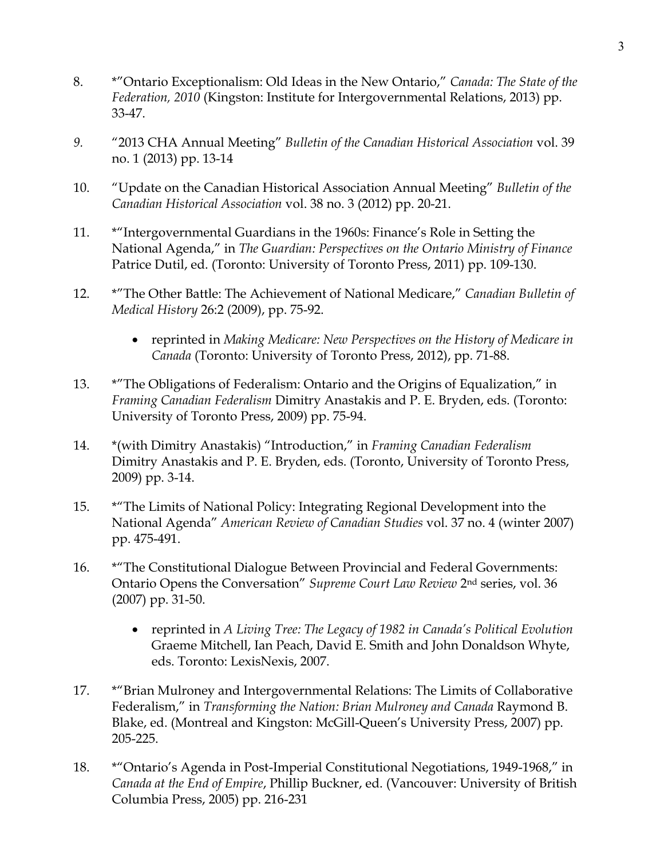- 8. \*"Ontario Exceptionalism: Old Ideas in the New Ontario," *Canada: The State of the Federation, 2010* (Kingston: Institute for Intergovernmental Relations, 2013) pp. 33-47.
- *9.* "2013 CHA Annual Meeting" *Bulletin of the Canadian Historical Association* vol. 39 no. 1 (2013) pp. 13-14
- 10. "Update on the Canadian Historical Association Annual Meeting" *Bulletin of the Canadian Historical Association* vol. 38 no. 3 (2012) pp. 20-21.
- 11. \*"Intergovernmental Guardians in the 1960s: Finance's Role in Setting the National Agenda," in *The Guardian: Perspectives on the Ontario Ministry of Finance*  Patrice Dutil, ed. (Toronto: University of Toronto Press, 2011) pp. 109-130.
- 12. \*"The Other Battle: The Achievement of National Medicare," *Canadian Bulletin of Medical History* 26:2 (2009), pp. 75-92.
	- reprinted in *Making Medicare: New Perspectives on the History of Medicare in Canada* (Toronto: University of Toronto Press, 2012), pp. 71-88.
- 13. \*"The Obligations of Federalism: Ontario and the Origins of Equalization," in *Framing Canadian Federalism* Dimitry Anastakis and P. E. Bryden, eds. (Toronto: University of Toronto Press, 2009) pp. 75-94.
- 14. \*(with Dimitry Anastakis) "Introduction," in *Framing Canadian Federalism* Dimitry Anastakis and P. E. Bryden, eds. (Toronto, University of Toronto Press, 2009) pp. 3-14.
- 15. \*"The Limits of National Policy: Integrating Regional Development into the National Agenda" *American Review of Canadian Studies* vol. 37 no. 4 (winter 2007) pp. 475-491.
- 16. \*"The Constitutional Dialogue Between Provincial and Federal Governments: Ontario Opens the Conversation" *Supreme Court Law Review* 2nd series, vol. 36 (2007) pp. 31-50.
	- reprinted in *A Living Tree: The Legacy of 1982 in Canada's Political Evolution* Graeme Mitchell, Ian Peach, David E. Smith and John Donaldson Whyte, eds. Toronto: LexisNexis, 2007.
- 17. \*"Brian Mulroney and Intergovernmental Relations: The Limits of Collaborative Federalism," in *Transforming the Nation: Brian Mulroney and Canada* Raymond B. Blake, ed. (Montreal and Kingston: McGill-Queen's University Press, 2007) pp. 205-225.
- 18. \*"Ontario's Agenda in Post-Imperial Constitutional Negotiations, 1949-1968," in *Canada at the End of Empire*, Phillip Buckner, ed. (Vancouver: University of British Columbia Press, 2005) pp. 216-231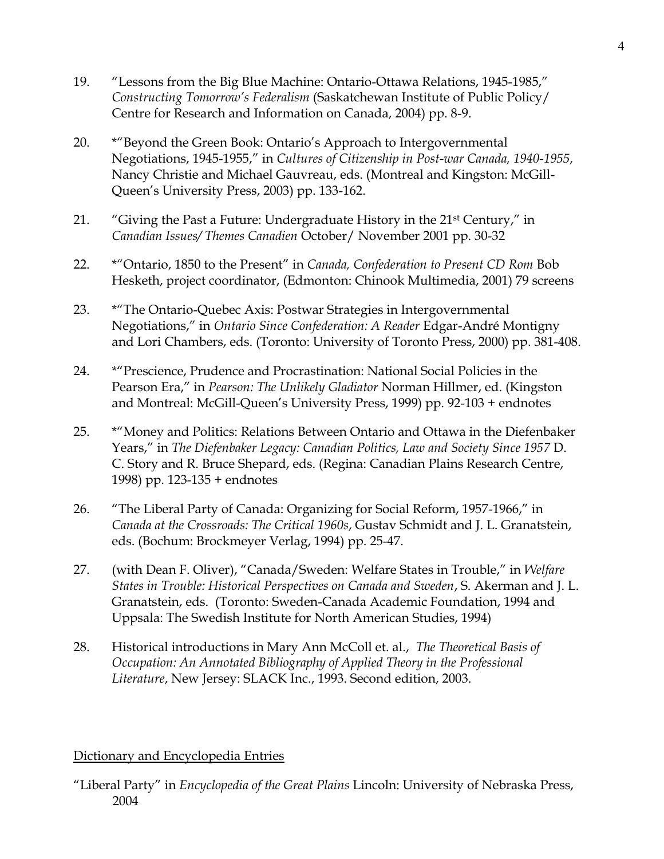- 19. "Lessons from the Big Blue Machine: Ontario-Ottawa Relations, 1945-1985," *Constructing Tomorrow's Federalism* (Saskatchewan Institute of Public Policy/ Centre for Research and Information on Canada, 2004) pp. 8-9.
- 20. \*"Beyond the Green Book: Ontario's Approach to Intergovernmental Negotiations, 1945-1955," in *Cultures of Citizenship in Post-war Canada, 1940-1955*, Nancy Christie and Michael Gauvreau, eds. (Montreal and Kingston: McGill-Queen's University Press, 2003) pp. 133-162.
- 21. "Giving the Past a Future: Undergraduate History in the 21st Century," in *Canadian Issues/ Themes Canadien* October/ November 2001 pp. 30-32
- 22. \*"Ontario, 1850 to the Present" in *Canada, Confederation to Present CD Rom* Bob Hesketh, project coordinator, (Edmonton: Chinook Multimedia, 2001) 79 screens
- 23. \*"The Ontario-Quebec Axis: Postwar Strategies in Intergovernmental Negotiations," in *Ontario Since Confederation: A Reader* Edgar-André Montigny and Lori Chambers, eds. (Toronto: University of Toronto Press, 2000) pp. 381-408.
- 24. \*"Prescience, Prudence and Procrastination: National Social Policies in the Pearson Era," in *Pearson: The Unlikely Gladiator* Norman Hillmer, ed. (Kingston and Montreal: McGill-Queen's University Press, 1999) pp. 92-103 + endnotes
- 25. \*"Money and Politics: Relations Between Ontario and Ottawa in the Diefenbaker Years," in *The Diefenbaker Legacy: Canadian Politics, Law and Society Since 1957* D. C. Story and R. Bruce Shepard, eds. (Regina: Canadian Plains Research Centre, 1998) pp. 123-135 + endnotes
- 26. "The Liberal Party of Canada: Organizing for Social Reform, 1957-1966," in *Canada at the Crossroads: The Critical 1960s*, Gustav Schmidt and J. L. Granatstein, eds. (Bochum: Brockmeyer Verlag, 1994) pp. 25-47.
- 27. (with Dean F. Oliver), "Canada/Sweden: Welfare States in Trouble," in *Welfare States in Trouble: Historical Perspectives on Canada and Sweden*, S. Akerman and J. L. Granatstein, eds. (Toronto: Sweden-Canada Academic Foundation, 1994 and Uppsala: The Swedish Institute for North American Studies, 1994)
- 28. Historical introductions in Mary Ann McColl et. al., *The Theoretical Basis of Occupation: An Annotated Bibliography of Applied Theory in the Professional Literature*, New Jersey: SLACK Inc., 1993. Second edition, 2003.

## Dictionary and Encyclopedia Entries

"Liberal Party" in *Encyclopedia of the Great Plains* Lincoln: University of Nebraska Press, 2004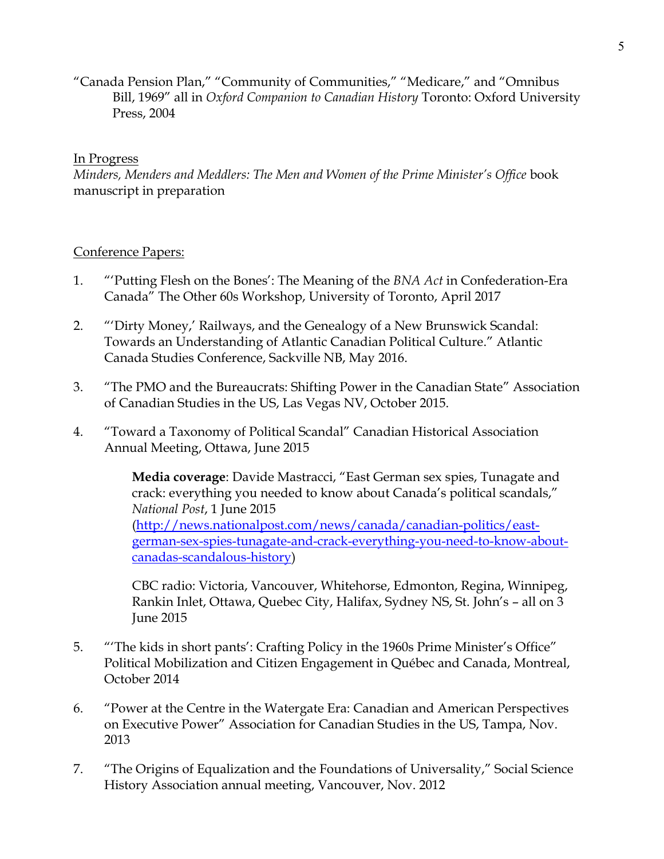"Canada Pension Plan," "Community of Communities," "Medicare," and "Omnibus Bill, 1969" all in *Oxford Companion to Canadian History* Toronto: Oxford University Press, 2004

## In Progress

*Minders, Menders and Meddlers: The Men and Women of the Prime Minister's Office* book manuscript in preparation

## Conference Papers:

- 1. "'Putting Flesh on the Bones': The Meaning of the *BNA Act* in Confederation-Era Canada" The Other 60s Workshop, University of Toronto, April 2017
- 2. "'Dirty Money,' Railways, and the Genealogy of a New Brunswick Scandal: Towards an Understanding of Atlantic Canadian Political Culture." Atlantic Canada Studies Conference, Sackville NB, May 2016.
- 3. "The PMO and the Bureaucrats: Shifting Power in the Canadian State" Association of Canadian Studies in the US, Las Vegas NV, October 2015.
- 4. "Toward a Taxonomy of Political Scandal" Canadian Historical Association Annual Meeting, Ottawa, June 2015

**Media coverage**: Davide Mastracci, "East German sex spies, Tunagate and crack: everything you needed to know about Canada's political scandals," *National Post*, 1 June 2015 [\(http://news.nationalpost.com/news/canada/canadian-politics/east](http://news.nationalpost.com/news/canada/canadian-politics/east-german-sex-spies-tunagate-and-crack-everything-you-need-to-know-about-canadas-scandalous-history)[german-sex-spies-tunagate-and-crack-everything-you-need-to-know-about](http://news.nationalpost.com/news/canada/canadian-politics/east-german-sex-spies-tunagate-and-crack-everything-you-need-to-know-about-canadas-scandalous-history)[canadas-scandalous-history\)](http://news.nationalpost.com/news/canada/canadian-politics/east-german-sex-spies-tunagate-and-crack-everything-you-need-to-know-about-canadas-scandalous-history)

CBC radio: Victoria, Vancouver, Whitehorse, Edmonton, Regina, Winnipeg, Rankin Inlet, Ottawa, Quebec City, Halifax, Sydney NS, St. John's – all on 3 June 2015

- 5. "'The kids in short pants': Crafting Policy in the 1960s Prime Minister's Office" Political Mobilization and Citizen Engagement in Québec and Canada, Montreal, October 2014
- 6. "Power at the Centre in the Watergate Era: Canadian and American Perspectives on Executive Power" Association for Canadian Studies in the US, Tampa, Nov. 2013
- 7. "The Origins of Equalization and the Foundations of Universality," Social Science History Association annual meeting, Vancouver, Nov. 2012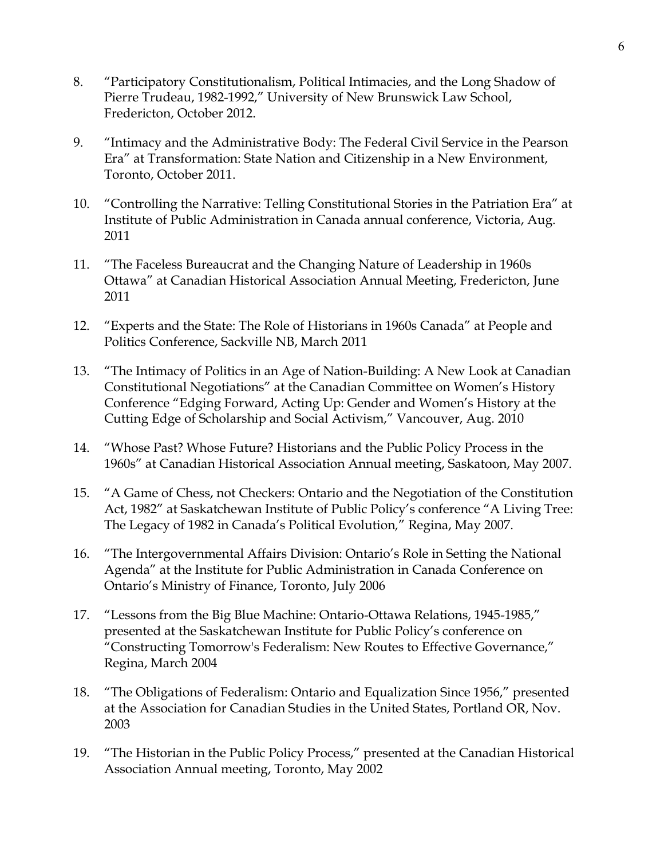- 8. "Participatory Constitutionalism, Political Intimacies, and the Long Shadow of Pierre Trudeau, 1982-1992," University of New Brunswick Law School, Fredericton, October 2012.
- 9. "Intimacy and the Administrative Body: The Federal Civil Service in the Pearson Era" at Transformation: State Nation and Citizenship in a New Environment, Toronto, October 2011.
- 10. "Controlling the Narrative: Telling Constitutional Stories in the Patriation Era" at Institute of Public Administration in Canada annual conference, Victoria, Aug. 2011
- 11. "The Faceless Bureaucrat and the Changing Nature of Leadership in 1960s Ottawa" at Canadian Historical Association Annual Meeting, Fredericton, June 2011
- 12. "Experts and the State: The Role of Historians in 1960s Canada" at People and Politics Conference, Sackville NB, March 2011
- 13. "The Intimacy of Politics in an Age of Nation-Building: A New Look at Canadian Constitutional Negotiations" at the Canadian Committee on Women's History Conference "Edging Forward, Acting Up: Gender and Women's History at the Cutting Edge of Scholarship and Social Activism," Vancouver, Aug. 2010
- 14. "Whose Past? Whose Future? Historians and the Public Policy Process in the 1960s" at Canadian Historical Association Annual meeting, Saskatoon, May 2007.
- 15. "A Game of Chess, not Checkers: Ontario and the Negotiation of the Constitution Act, 1982" at Saskatchewan Institute of Public Policy's conference "A Living Tree: The Legacy of 1982 in Canada's Political Evolution*,*" Regina, May 2007.
- 16. "The Intergovernmental Affairs Division: Ontario's Role in Setting the National Agenda" at the Institute for Public Administration in Canada Conference on Ontario's Ministry of Finance, Toronto, July 2006
- 17. "Lessons from the Big Blue Machine: Ontario-Ottawa Relations, 1945-1985," presented at the Saskatchewan Institute for Public Policy's conference on "Constructing Tomorrow's Federalism: New Routes to Effective Governance," Regina, March 2004
- 18. "The Obligations of Federalism: Ontario and Equalization Since 1956," presented at the Association for Canadian Studies in the United States, Portland OR, Nov. 2003
- 19. "The Historian in the Public Policy Process," presented at the Canadian Historical Association Annual meeting, Toronto, May 2002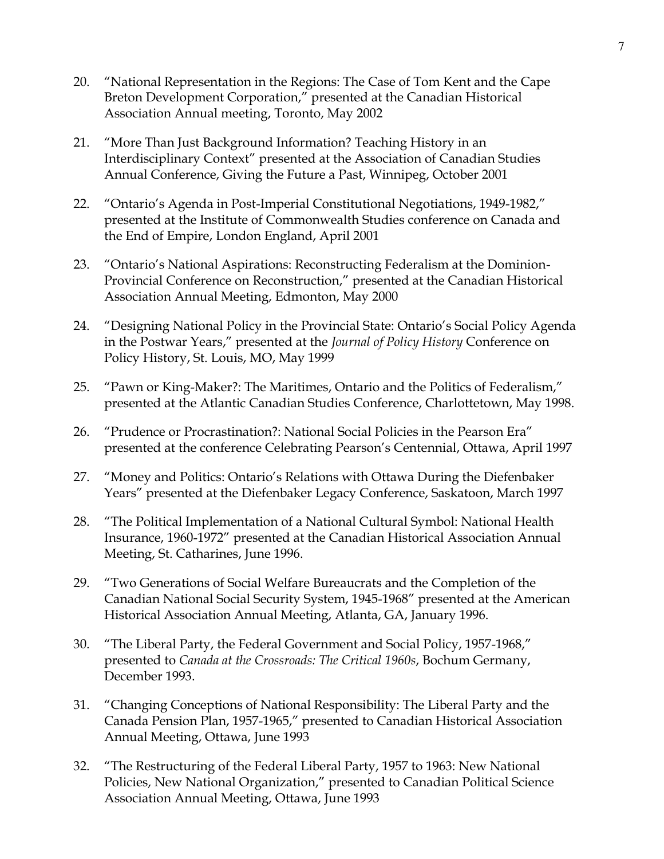- 20. "National Representation in the Regions: The Case of Tom Kent and the Cape Breton Development Corporation," presented at the Canadian Historical Association Annual meeting, Toronto, May 2002
- 21. "More Than Just Background Information? Teaching History in an Interdisciplinary Context" presented at the Association of Canadian Studies Annual Conference, Giving the Future a Past, Winnipeg, October 2001
- 22. "Ontario's Agenda in Post-Imperial Constitutional Negotiations, 1949-1982," presented at the Institute of Commonwealth Studies conference on Canada and the End of Empire, London England, April 2001
- 23. "Ontario's National Aspirations: Reconstructing Federalism at the Dominion-Provincial Conference on Reconstruction," presented at the Canadian Historical Association Annual Meeting, Edmonton, May 2000
- 24. "Designing National Policy in the Provincial State: Ontario's Social Policy Agenda in the Postwar Years," presented at the *Journal of Policy History* Conference on Policy History, St. Louis, MO, May 1999
- 25. "Pawn or King-Maker?: The Maritimes, Ontario and the Politics of Federalism," presented at the Atlantic Canadian Studies Conference, Charlottetown, May 1998.
- 26. "Prudence or Procrastination?: National Social Policies in the Pearson Era" presented at the conference Celebrating Pearson's Centennial, Ottawa, April 1997
- 27. "Money and Politics: Ontario's Relations with Ottawa During the Diefenbaker Years" presented at the Diefenbaker Legacy Conference, Saskatoon, March 1997
- 28. "The Political Implementation of a National Cultural Symbol: National Health Insurance, 1960-1972" presented at the Canadian Historical Association Annual Meeting, St. Catharines, June 1996.
- 29. "Two Generations of Social Welfare Bureaucrats and the Completion of the Canadian National Social Security System, 1945-1968" presented at the American Historical Association Annual Meeting, Atlanta, GA, January 1996.
- 30. "The Liberal Party, the Federal Government and Social Policy, 1957-1968," presented to *Canada at the Crossroads: The Critical 1960s*, Bochum Germany, December 1993.
- 31. "Changing Conceptions of National Responsibility: The Liberal Party and the Canada Pension Plan, 1957-1965," presented to Canadian Historical Association Annual Meeting, Ottawa, June 1993
- 32. "The Restructuring of the Federal Liberal Party, 1957 to 1963: New National Policies, New National Organization," presented to Canadian Political Science Association Annual Meeting, Ottawa, June 1993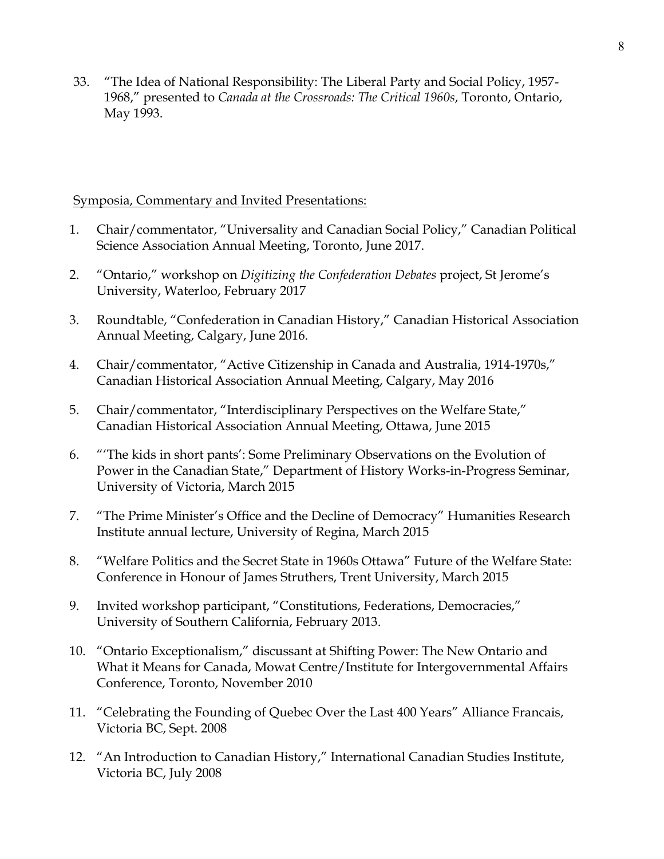33. "The Idea of National Responsibility: The Liberal Party and Social Policy, 1957- 1968," presented to *Canada at the Crossroads: The Critical 1960s*, Toronto, Ontario, May 1993.

## Symposia, Commentary and Invited Presentations:

- 1. Chair/commentator, "Universality and Canadian Social Policy," Canadian Political Science Association Annual Meeting, Toronto, June 2017.
- 2. "Ontario," workshop on *Digitizing the Confederation Debates* project, St Jerome's University, Waterloo, February 2017
- 3. Roundtable, "Confederation in Canadian History," Canadian Historical Association Annual Meeting, Calgary, June 2016.
- 4. Chair/commentator, "Active Citizenship in Canada and Australia, 1914-1970s," Canadian Historical Association Annual Meeting, Calgary, May 2016
- 5. Chair/commentator, "Interdisciplinary Perspectives on the Welfare State," Canadian Historical Association Annual Meeting, Ottawa, June 2015
- 6. "'The kids in short pants': Some Preliminary Observations on the Evolution of Power in the Canadian State," Department of History Works-in-Progress Seminar, University of Victoria, March 2015
- 7. "The Prime Minister's Office and the Decline of Democracy" Humanities Research Institute annual lecture, University of Regina, March 2015
- 8. "Welfare Politics and the Secret State in 1960s Ottawa" Future of the Welfare State: Conference in Honour of James Struthers, Trent University, March 2015
- 9. Invited workshop participant, "Constitutions, Federations, Democracies," University of Southern California, February 2013.
- 10. "Ontario Exceptionalism," discussant at Shifting Power: The New Ontario and What it Means for Canada, Mowat Centre/Institute for Intergovernmental Affairs Conference, Toronto, November 2010
- 11. "Celebrating the Founding of Quebec Over the Last 400 Years" Alliance Francais, Victoria BC, Sept. 2008
- 12. "An Introduction to Canadian History," International Canadian Studies Institute, Victoria BC, July 2008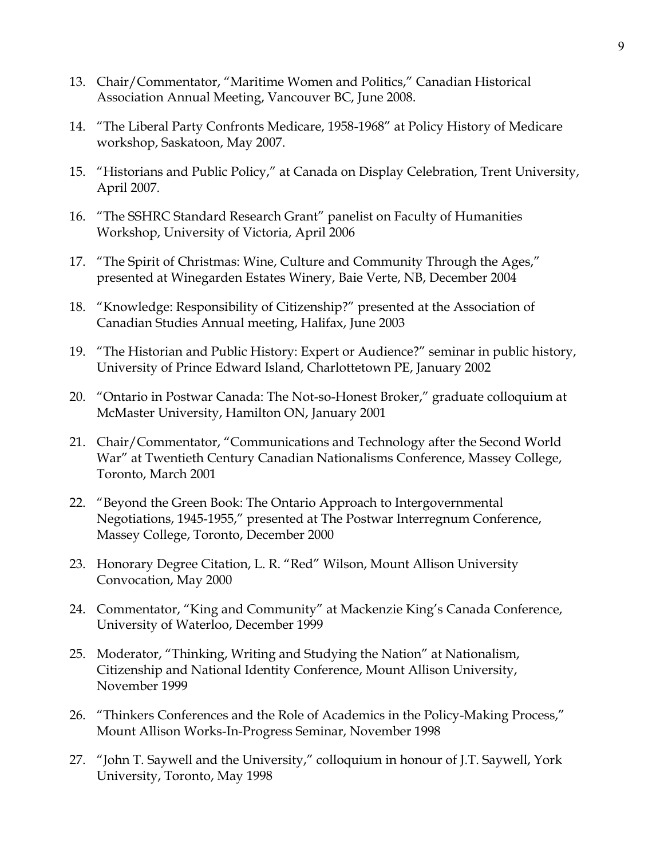- 13. Chair/Commentator, "Maritime Women and Politics," Canadian Historical Association Annual Meeting, Vancouver BC, June 2008.
- 14. "The Liberal Party Confronts Medicare, 1958-1968" at Policy History of Medicare workshop, Saskatoon, May 2007.
- 15. "Historians and Public Policy," at Canada on Display Celebration, Trent University, April 2007.
- 16. "The SSHRC Standard Research Grant" panelist on Faculty of Humanities Workshop, University of Victoria, April 2006
- 17. "The Spirit of Christmas: Wine, Culture and Community Through the Ages," presented at Winegarden Estates Winery, Baie Verte, NB, December 2004
- 18. "Knowledge: Responsibility of Citizenship?" presented at the Association of Canadian Studies Annual meeting, Halifax, June 2003
- 19. "The Historian and Public History: Expert or Audience?" seminar in public history, University of Prince Edward Island, Charlottetown PE, January 2002
- 20. "Ontario in Postwar Canada: The Not-so-Honest Broker," graduate colloquium at McMaster University, Hamilton ON, January 2001
- 21. Chair/Commentator, "Communications and Technology after the Second World War" at Twentieth Century Canadian Nationalisms Conference, Massey College, Toronto, March 2001
- 22. "Beyond the Green Book: The Ontario Approach to Intergovernmental Negotiations, 1945-1955," presented at The Postwar Interregnum Conference, Massey College, Toronto, December 2000
- 23. Honorary Degree Citation, L. R. "Red" Wilson, Mount Allison University Convocation, May 2000
- 24. Commentator, "King and Community" at Mackenzie King's Canada Conference, University of Waterloo, December 1999
- 25. Moderator, "Thinking, Writing and Studying the Nation" at Nationalism, Citizenship and National Identity Conference, Mount Allison University, November 1999
- 26. "Thinkers Conferences and the Role of Academics in the Policy-Making Process," Mount Allison Works-In-Progress Seminar, November 1998
- 27. "John T. Saywell and the University," colloquium in honour of J.T. Saywell, York University, Toronto, May 1998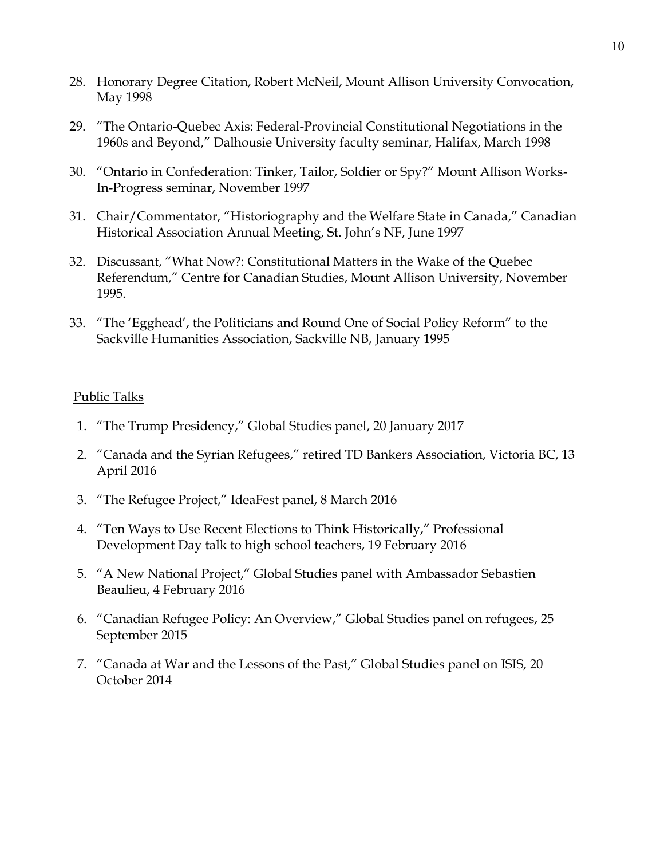- 28. Honorary Degree Citation, Robert McNeil, Mount Allison University Convocation, May 1998
- 29. "The Ontario-Quebec Axis: Federal-Provincial Constitutional Negotiations in the 1960s and Beyond," Dalhousie University faculty seminar, Halifax, March 1998
- 30. "Ontario in Confederation: Tinker, Tailor, Soldier or Spy?" Mount Allison Works-In-Progress seminar, November 1997
- 31. Chair/Commentator, "Historiography and the Welfare State in Canada," Canadian Historical Association Annual Meeting, St. John's NF, June 1997
- 32. Discussant, "What Now?: Constitutional Matters in the Wake of the Quebec Referendum," Centre for Canadian Studies, Mount Allison University, November 1995.
- 33. "The 'Egghead', the Politicians and Round One of Social Policy Reform" to the Sackville Humanities Association, Sackville NB, January 1995

#### Public Talks

- 1. "The Trump Presidency," Global Studies panel, 20 January 2017
- 2. "Canada and the Syrian Refugees," retired TD Bankers Association, Victoria BC, 13 April 2016
- 3. "The Refugee Project," IdeaFest panel, 8 March 2016
- 4. "Ten Ways to Use Recent Elections to Think Historically," Professional Development Day talk to high school teachers, 19 February 2016
- 5. "A New National Project," Global Studies panel with Ambassador Sebastien Beaulieu, 4 February 2016
- 6. "Canadian Refugee Policy: An Overview," Global Studies panel on refugees, 25 September 2015
- 7. "Canada at War and the Lessons of the Past," Global Studies panel on ISIS, 20 October 2014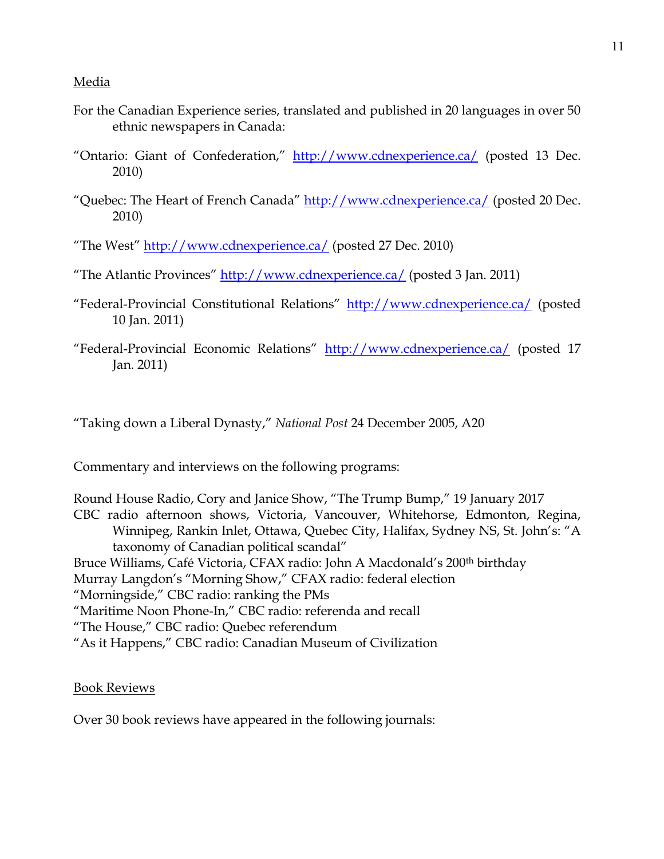#### Media

- For the Canadian Experience series, translated and published in 20 languages in over 50 ethnic newspapers in Canada:
- "Ontario: Giant of Confederation," <http://www.cdnexperience.ca/> (posted 13 Dec. 2010)
- "Quebec: The Heart of French Canada" <http://www.cdnexperience.ca/> (posted 20 Dec. 2010)

"The West" <http://www.cdnexperience.ca/> (posted 27 Dec. 2010)

"The Atlantic Provinces" <http://www.cdnexperience.ca/> (posted 3 Jan. 2011)

- "Federal-Provincial Constitutional Relations" <http://www.cdnexperience.ca/> (posted 10 Jan. 2011)
- "Federal-Provincial Economic Relations" <http://www.cdnexperience.ca/> (posted 17 Jan. 2011)

"Taking down a Liberal Dynasty," *National Post* 24 December 2005, A20

Commentary and interviews on the following programs:

Round House Radio, Cory and Janice Show, "The Trump Bump," 19 January 2017 CBC radio afternoon shows, Victoria, Vancouver, Whitehorse, Edmonton, Regina, Winnipeg, Rankin Inlet, Ottawa, Quebec City, Halifax, Sydney NS, St. John's: "A taxonomy of Canadian political scandal" Bruce Williams, Café Victoria, CFAX radio: John A Macdonald's 200<sup>th</sup> birthday Murray Langdon's "Morning Show," CFAX radio: federal election "Morningside," CBC radio: ranking the PMs "Maritime Noon Phone-In," CBC radio: referenda and recall "The House," CBC radio: Quebec referendum "As it Happens," CBC radio: Canadian Museum of Civilization

#### Book Reviews

Over 30 book reviews have appeared in the following journals: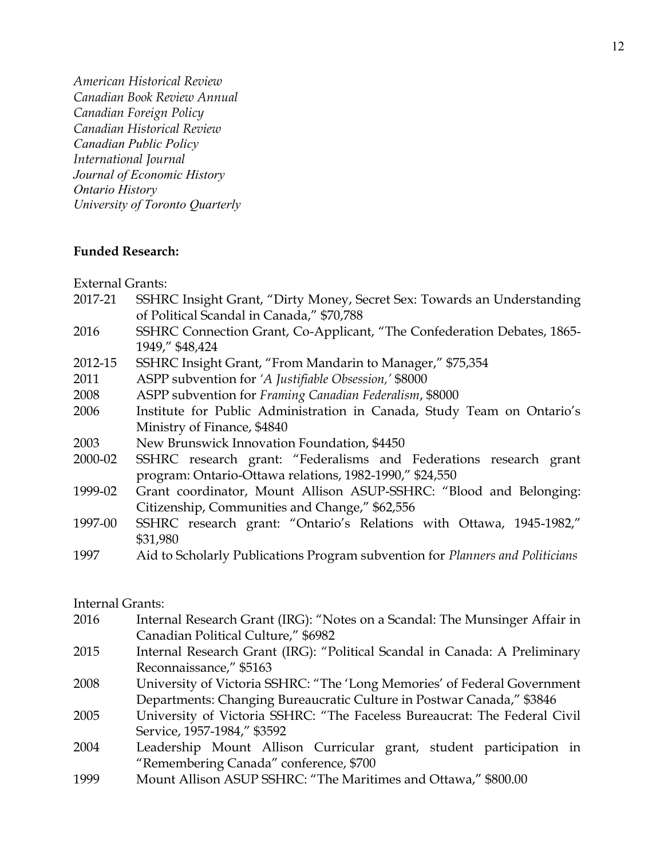*American Historical Review Canadian Book Review Annual Canadian Foreign Policy Canadian Historical Review Canadian Public Policy International Journal Journal of Economic History Ontario History University of Toronto Quarterly*

#### **Funded Research:**

External Grants:

| 2017-21 | SSHRC Insight Grant, "Dirty Money, Secret Sex: Towards an Understanding       |  |  |  |
|---------|-------------------------------------------------------------------------------|--|--|--|
|         | of Political Scandal in Canada," \$70,788                                     |  |  |  |
| 2016    | SSHRC Connection Grant, Co-Applicant, "The Confederation Debates, 1865-       |  |  |  |
|         | 1949," \$48,424                                                               |  |  |  |
| 2012-15 | SSHRC Insight Grant, "From Mandarin to Manager," \$75,354                     |  |  |  |
| 2011    | ASPP subvention for 'A Justifiable Obsession,' \$8000                         |  |  |  |
| 2008    | ASPP subvention for Framing Canadian Federalism, \$8000                       |  |  |  |
| 2006    | Institute for Public Administration in Canada, Study Team on Ontario's        |  |  |  |
|         | Ministry of Finance, \$4840                                                   |  |  |  |
| 2003    | New Brunswick Innovation Foundation, \$4450                                   |  |  |  |
| 2000-02 | SSHRC research grant: "Federalisms and Federations research grant             |  |  |  |
|         | program: Ontario-Ottawa relations, 1982-1990," \$24,550                       |  |  |  |
| 1999-02 | Grant coordinator, Mount Allison ASUP-SSHRC: "Blood and Belonging:            |  |  |  |
|         | Citizenship, Communities and Change," \$62,556                                |  |  |  |
| 1997-00 | SSHRC research grant: "Ontario's Relations with Ottawa, 1945-1982,"           |  |  |  |
|         | \$31,980                                                                      |  |  |  |
| 1997    | Aid to Scholarly Publications Program subvention for Planners and Politicians |  |  |  |

# Internal Grants:

| 2016 | Internal Research Grant (IRG): "Notes on a Scandal: The Munsinger Affair in |
|------|-----------------------------------------------------------------------------|
|      | Canadian Political Culture," \$6982                                         |
| 2015 | Internal Research Grant (IRG): "Political Scandal in Canada: A Preliminary  |
|      | Reconnaissance," \$5163                                                     |
| 2008 | University of Victoria SSHRC: "The 'Long Memories' of Federal Government    |
|      | Departments: Changing Bureaucratic Culture in Postwar Canada," \$3846       |

- 2005 University of Victoria SSHRC: "The Faceless Bureaucrat: The Federal Civil Service, 1957-1984," \$3592
- 2004 Leadership Mount Allison Curricular grant, student participation in "Remembering Canada" conference, \$700
- 1999 Mount Allison ASUP SSHRC: "The Maritimes and Ottawa," \$800.00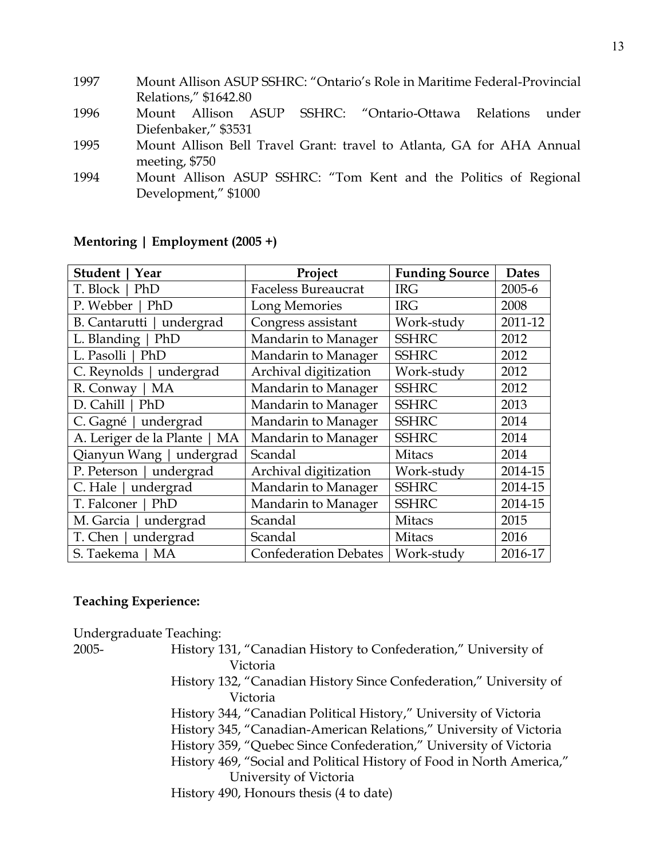| 1997 | Mount Allison ASUP SSHRC: "Ontario's Role in Maritime Federal-Provincial |
|------|--------------------------------------------------------------------------|
|      | Relations," \$1642.80                                                    |
| 1996 | Mount Allison ASUP SSHRC: "Ontario-Ottawa Relations under                |
|      | Diefenbaker," \$3531                                                     |
| 1995 | Mount Allison Bell Travel Grant: travel to Atlanta, GA for AHA Annual    |
|      | meeting, \$750                                                           |
| 1994 | Mount Allison ASUP SSHRC: "Tom Kent and the Politics of Regional         |
|      | Development," \$1000                                                     |
|      |                                                                          |

| Student  <br>Year             | Project                    | <b>Funding Source</b> | <b>Dates</b> |
|-------------------------------|----------------------------|-----------------------|--------------|
| T. Block   PhD                | <b>Faceless Bureaucrat</b> | <b>IRG</b>            | 2005-6       |
| P. Webber   PhD               | Long Memories              | <b>IRG</b>            | 2008         |
| B. Cantarutti   undergrad     | Congress assistant         | Work-study            | 2011-12      |
| L. Blanding   PhD             | Mandarin to Manager        | <b>SSHRC</b>          | 2012         |
| L. Pasolli   PhD              | Mandarin to Manager        | <b>SSHRC</b>          | 2012         |
| C. Reynolds   undergrad       | Archival digitization      | Work-study            | 2012         |
| MA<br>R. Conway               | Mandarin to Manager        | <b>SSHRC</b>          | 2012         |
| $D.$ Cahill $ $<br>PhD        | Mandarin to Manager        | <b>SSHRC</b>          | 2013         |
| C. Gagné   undergrad          | Mandarin to Manager        | <b>SSHRC</b>          | 2014         |
| A. Leriger de la Plante<br>MA | Mandarin to Manager        | <b>SSHRC</b>          | 2014         |
| Qianyun Wang   undergrad      | Scandal                    | <b>Mitacs</b>         | 2014         |
| P. Peterson   undergrad       | Archival digitization      | Work-study            | 2014-15      |
| C. Hale   undergrad           | Mandarin to Manager        | <b>SSHRC</b>          | 2014-15      |
| T. Falconer  <br>PhD          | Mandarin to Manager        | <b>SSHRC</b>          | 2014-15      |
| M. Garcia  <br>undergrad      | Scandal                    | <b>Mitacs</b>         | 2015         |
| T. Chen   undergrad           | Scandal                    | <b>Mitacs</b>         | 2016         |
| S. Taekema<br>MA              | Confederation Debates      | Work-study            | 2016-17      |

### **Mentoring | Employment (2005 +)**

#### **Teaching Experience:**

Undergraduate Teaching: 2005- History 131, "Canadian History to Confederation," University of Victoria History 132, "Canadian History Since Confederation," University of Victoria History 344, "Canadian Political History," University of Victoria History 345, "Canadian-American Relations," University of Victoria History 359, "Quebec Since Confederation," University of Victoria History 469, "Social and Political History of Food in North America," University of Victoria History 490, Honours thesis (4 to date)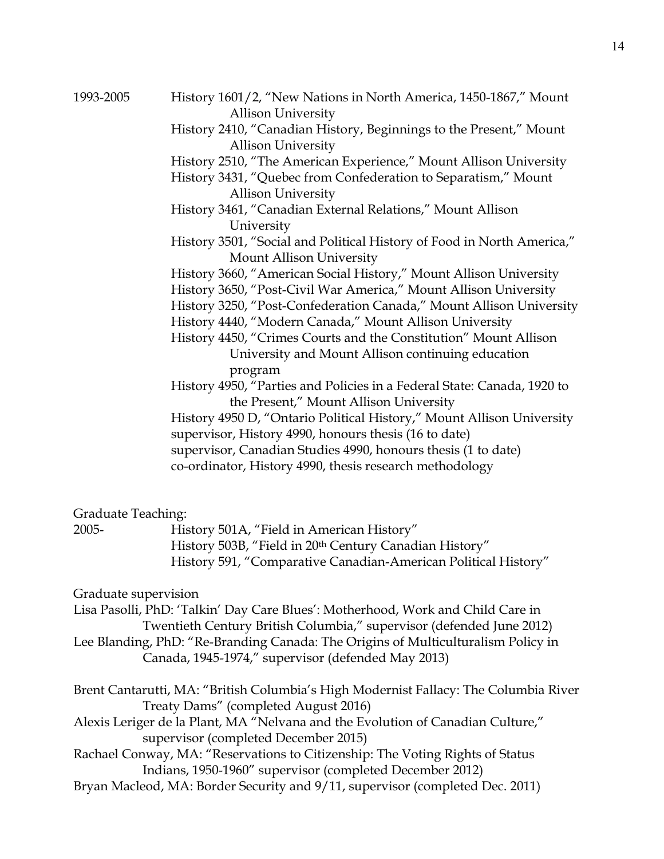1993-2005 History 1601/2, "New Nations in North America, 1450-1867," Mount Allison University History 2410, "Canadian History, Beginnings to the Present," Mount Allison University History 2510, "The American Experience," Mount Allison University History 3431, "Quebec from Confederation to Separatism," Mount Allison University History 3461, "Canadian External Relations," Mount Allison University History 3501, "Social and Political History of Food in North America," Mount Allison University History 3660, "American Social History," Mount Allison University History 3650, "Post-Civil War America," Mount Allison University History 3250, "Post-Confederation Canada," Mount Allison University History 4440, "Modern Canada," Mount Allison University History 4450, "Crimes Courts and the Constitution" Mount Allison University and Mount Allison continuing education program History 4950, "Parties and Policies in a Federal State: Canada, 1920 to the Present," Mount Allison University History 4950 D, "Ontario Political History," Mount Allison University supervisor, History 4990, honours thesis (16 to date) supervisor, Canadian Studies 4990, honours thesis (1 to date) co-ordinator, History 4990, thesis research methodology

#### Graduate Teaching:

| 2005- | History 501A, "Field in American History"                      |
|-------|----------------------------------------------------------------|
|       | History 503B, "Field in 20th Century Canadian History"         |
|       | History 591, "Comparative Canadian-American Political History" |

Graduate supervision

Lisa Pasolli, PhD: 'Talkin' Day Care Blues': Motherhood, Work and Child Care in Twentieth Century British Columbia," supervisor (defended June 2012) Lee Blanding, PhD: "Re-Branding Canada: The Origins of Multiculturalism Policy in

```
Canada, 1945-1974," supervisor (defended May 2013)
```
- Brent Cantarutti, MA: "British Columbia's High Modernist Fallacy: The Columbia River Treaty Dams" (completed August 2016)
- Alexis Leriger de la Plant, MA "Nelvana and the Evolution of Canadian Culture," supervisor (completed December 2015)
- Rachael Conway, MA: "Reservations to Citizenship: The Voting Rights of Status Indians, 1950-1960" supervisor (completed December 2012)
- Bryan Macleod, MA: Border Security and 9/11, supervisor (completed Dec. 2011)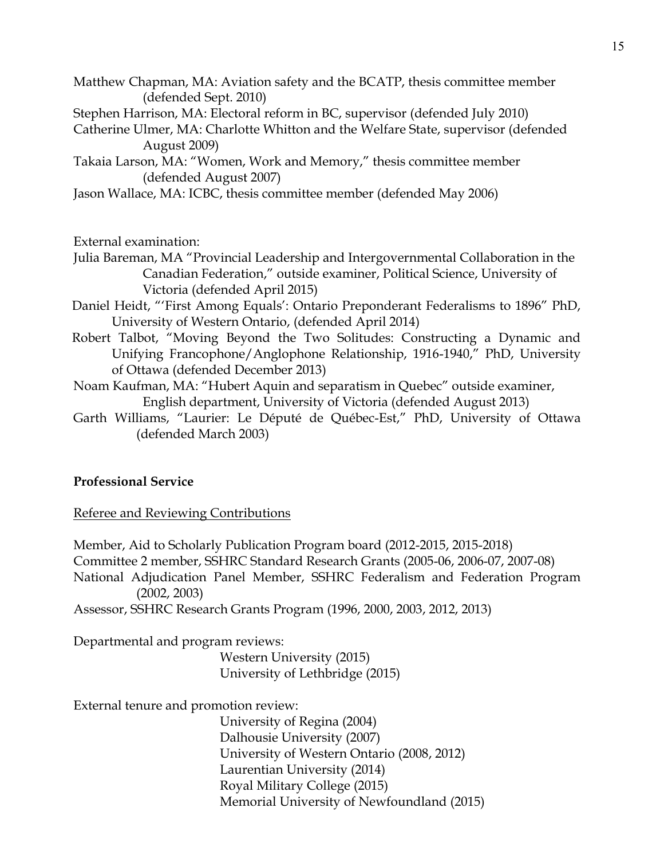- Matthew Chapman, MA: Aviation safety and the BCATP, thesis committee member (defended Sept. 2010)
- Stephen Harrison, MA: Electoral reform in BC, supervisor (defended July 2010)
- Catherine Ulmer, MA: Charlotte Whitton and the Welfare State, supervisor (defended August 2009)
- Takaia Larson, MA: "Women, Work and Memory," thesis committee member (defended August 2007)

Jason Wallace, MA: ICBC, thesis committee member (defended May 2006)

External examination:

- Julia Bareman, MA "Provincial Leadership and Intergovernmental Collaboration in the Canadian Federation," outside examiner, Political Science, University of Victoria (defended April 2015)
- Daniel Heidt, "'First Among Equals': Ontario Preponderant Federalisms to 1896" PhD, University of Western Ontario, (defended April 2014)
- Robert Talbot, "Moving Beyond the Two Solitudes: Constructing a Dynamic and Unifying Francophone/Anglophone Relationship, 1916-1940," PhD, University of Ottawa (defended December 2013)
- Noam Kaufman, MA: "Hubert Aquin and separatism in Quebec" outside examiner, English department, University of Victoria (defended August 2013)
- Garth Williams, "Laurier: Le Député de Québec-Est," PhD, University of Ottawa (defended March 2003)

#### **Professional Service**

Referee and Reviewing Contributions

Member, Aid to Scholarly Publication Program board (2012-2015, 2015-2018) Committee 2 member, SSHRC Standard Research Grants (2005-06, 2006-07, 2007-08) National Adjudication Panel Member, SSHRC Federalism and Federation Program (2002, 2003) Assessor, SSHRC Research Grants Program (1996, 2000, 2003, 2012, 2013)

Departmental and program reviews:

Western University (2015) University of Lethbridge (2015)

External tenure and promotion review:

University of Regina (2004) Dalhousie University (2007) University of Western Ontario (2008, 2012) Laurentian University (2014) Royal Military College (2015) Memorial University of Newfoundland (2015)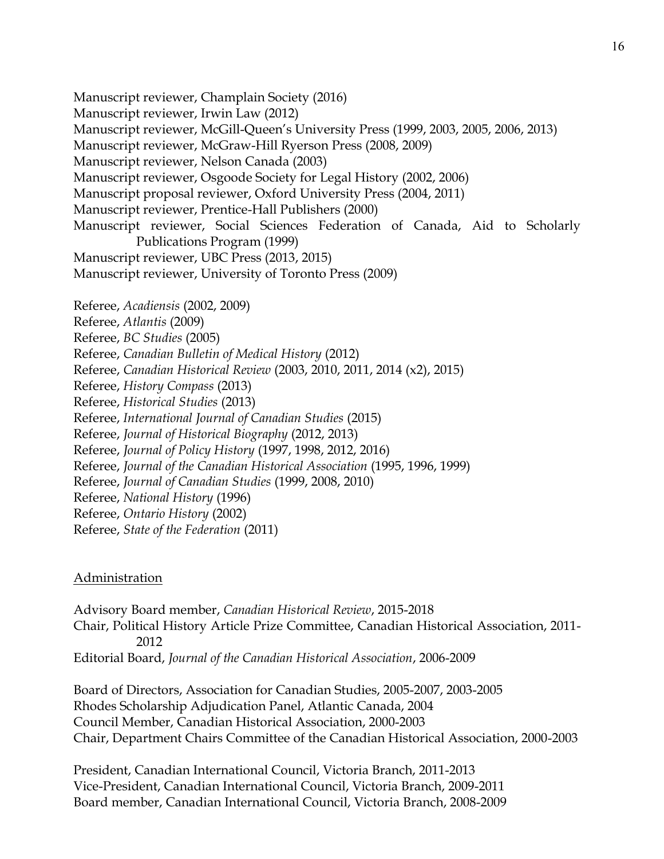Manuscript reviewer, Champlain Society (2016) Manuscript reviewer, Irwin Law (2012) Manuscript reviewer, McGill-Queen's University Press (1999, 2003, 2005, 2006, 2013) Manuscript reviewer, McGraw-Hill Ryerson Press (2008, 2009) Manuscript reviewer, Nelson Canada (2003) Manuscript reviewer, Osgoode Society for Legal History (2002, 2006) Manuscript proposal reviewer, Oxford University Press (2004, 2011) Manuscript reviewer, Prentice-Hall Publishers (2000) Manuscript reviewer, Social Sciences Federation of Canada, Aid to Scholarly Publications Program (1999) Manuscript reviewer, UBC Press (2013, 2015) Manuscript reviewer, University of Toronto Press (2009) Referee, *Acadiensis* (2002, 2009) Referee, *Atlantis* (2009) Referee, *BC Studies* (2005) Referee, *Canadian Bulletin of Medical History* (2012) Referee, *Canadian Historical Review* (2003, 2010, 2011, 2014 (x2), 2015) Referee, *History Compass* (2013) Referee, *Historical Studies* (2013) Referee, *International Journal of Canadian Studies* (2015) Referee, *Journal of Historical Biography* (2012, 2013) Referee, *Journal of Policy History* (1997, 1998, 2012, 2016) Referee, *Journal of the Canadian Historical Association* (1995, 1996, 1999) Referee, *Journal of Canadian Studies* (1999, 2008, 2010) Referee, *National History* (1996) Referee, *Ontario History* (2002) Referee, *State of the Federation* (2011)

## Administration

Advisory Board member, *Canadian Historical Review*, 2015-2018 Chair, Political History Article Prize Committee, Canadian Historical Association, 2011- 2012 Editorial Board, *Journal of the Canadian Historical Association*, 2006-2009

Board of Directors, Association for Canadian Studies, 2005-2007, 2003-2005 Rhodes Scholarship Adjudication Panel, Atlantic Canada, 2004 Council Member, Canadian Historical Association, 2000-2003 Chair, Department Chairs Committee of the Canadian Historical Association, 2000-2003

President, Canadian International Council, Victoria Branch, 2011-2013 Vice-President, Canadian International Council, Victoria Branch, 2009-2011 Board member, Canadian International Council, Victoria Branch, 2008-2009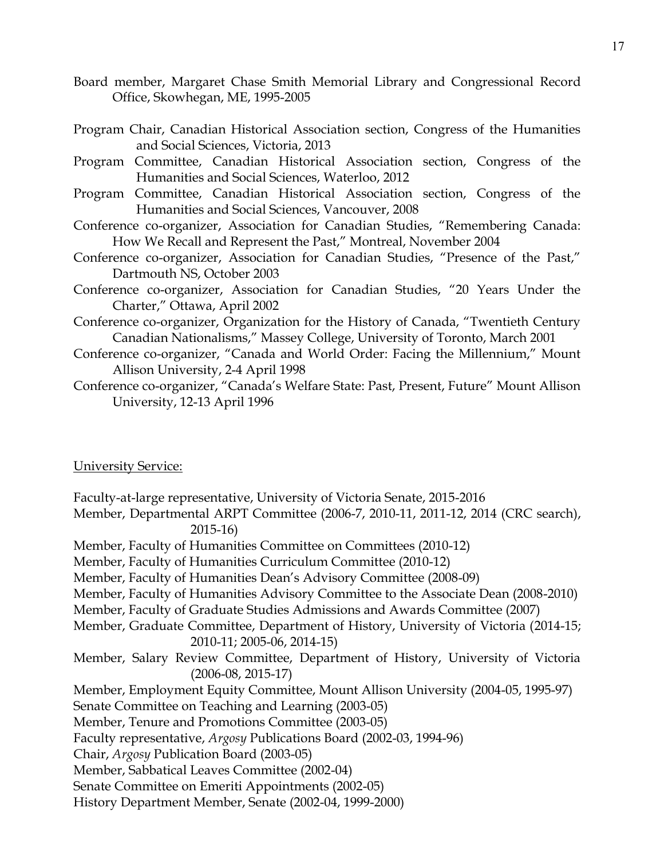- Board member, Margaret Chase Smith Memorial Library and Congressional Record Office, Skowhegan, ME, 1995-2005
- Program Chair, Canadian Historical Association section, Congress of the Humanities and Social Sciences, Victoria, 2013
- Program Committee, Canadian Historical Association section, Congress of the Humanities and Social Sciences, Waterloo, 2012
- Program Committee, Canadian Historical Association section, Congress of the Humanities and Social Sciences, Vancouver, 2008
- Conference co-organizer, Association for Canadian Studies, "Remembering Canada: How We Recall and Represent the Past," Montreal, November 2004
- Conference co-organizer, Association for Canadian Studies, "Presence of the Past," Dartmouth NS, October 2003
- Conference co-organizer, Association for Canadian Studies, "20 Years Under the Charter," Ottawa, April 2002
- Conference co-organizer, Organization for the History of Canada, "Twentieth Century Canadian Nationalisms," Massey College, University of Toronto, March 2001
- Conference co-organizer, "Canada and World Order: Facing the Millennium," Mount Allison University, 2-4 April 1998
- Conference co-organizer, "Canada's Welfare State: Past, Present, Future" Mount Allison University, 12-13 April 1996

#### University Service:

Faculty-at-large representative, University of Victoria Senate, 2015-2016 Member, Departmental ARPT Committee (2006-7, 2010-11, 2011-12, 2014 (CRC search), 2015-16) Member, Faculty of Humanities Committee on Committees (2010-12) Member, Faculty of Humanities Curriculum Committee (2010-12) Member, Faculty of Humanities Dean's Advisory Committee (2008-09) Member, Faculty of Humanities Advisory Committee to the Associate Dean (2008-2010) Member, Faculty of Graduate Studies Admissions and Awards Committee (2007) Member, Graduate Committee, Department of History, University of Victoria (2014-15; 2010-11; 2005-06, 2014-15) Member, Salary Review Committee, Department of History, University of Victoria (2006-08, 2015-17) Member, Employment Equity Committee, Mount Allison University (2004-05, 1995-97) Senate Committee on Teaching and Learning (2003-05) Member, Tenure and Promotions Committee (2003-05) Faculty representative, *Argosy* Publications Board (2002-03, 1994-96) Chair, *Argosy* Publication Board (2003-05) Member, Sabbatical Leaves Committee (2002-04) Senate Committee on Emeriti Appointments (2002-05) History Department Member, Senate (2002-04, 1999-2000)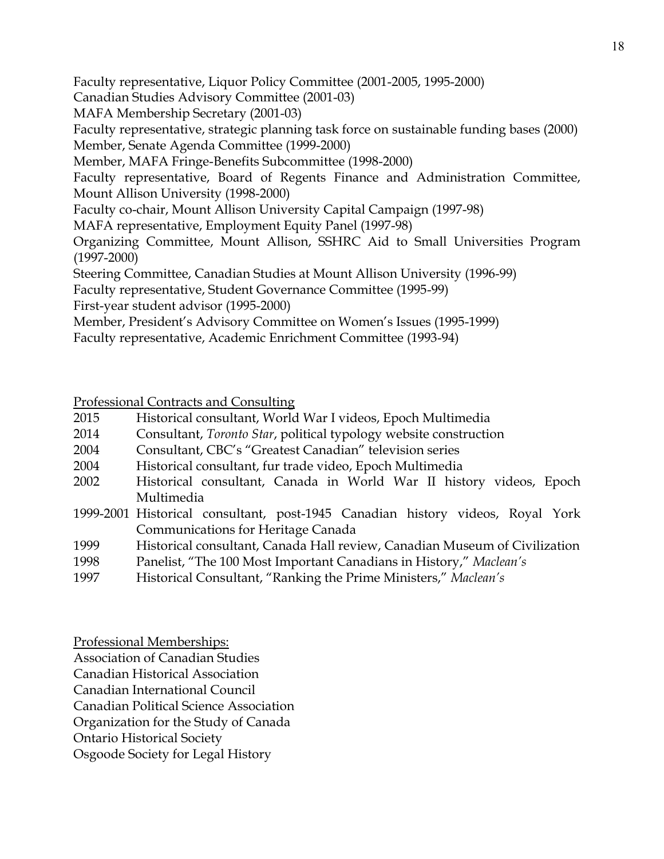Faculty representative, Liquor Policy Committee (2001-2005, 1995-2000)

Canadian Studies Advisory Committee (2001-03)

MAFA Membership Secretary (2001-03)

Faculty representative, strategic planning task force on sustainable funding bases (2000) Member, Senate Agenda Committee (1999-2000)

Member, MAFA Fringe-Benefits Subcommittee (1998-2000)

Faculty representative, Board of Regents Finance and Administration Committee, Mount Allison University (1998-2000)

Faculty co-chair, Mount Allison University Capital Campaign (1997-98)

MAFA representative, Employment Equity Panel (1997-98)

Organizing Committee, Mount Allison, SSHRC Aid to Small Universities Program (1997-2000)

Steering Committee, Canadian Studies at Mount Allison University (1996-99)

Faculty representative, Student Governance Committee (1995-99)

First-year student advisor (1995-2000)

Member, President's Advisory Committee on Women's Issues (1995-1999)

Faculty representative, Academic Enrichment Committee (1993-94)

Professional Contracts and Consulting

| 2015 | Historical consultant, World War I videos, Epoch Multimedia |  |  |  |
|------|-------------------------------------------------------------|--|--|--|
|      |                                                             |  |  |  |

- 2014 Consultant, *Toronto Star*, political typology website construction
- 2004 Consultant, CBC's "Greatest Canadian" television series
- 2004 Historical consultant, fur trade video, Epoch Multimedia
- 2002 Historical consultant, Canada in World War II history videos, Epoch Multimedia
- 1999-2001 Historical consultant, post-1945 Canadian history videos, Royal York Communications for Heritage Canada
- 1999 Historical consultant, Canada Hall review, Canadian Museum of Civilization
- 1998 Panelist, "The 100 Most Important Canadians in History," *Maclean's*
- 1997 Historical Consultant, "Ranking the Prime Ministers," *Maclean's*

Professional Memberships:

Association of Canadian Studies

Canadian Historical Association

Canadian International Council

Canadian Political Science Association

Organization for the Study of Canada

Ontario Historical Society

Osgoode Society for Legal History